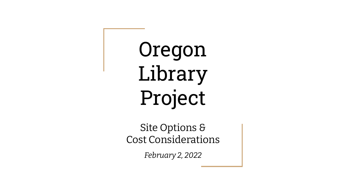Oregon Library Project

Site Options & Cost Considerations

*February 2, 2022*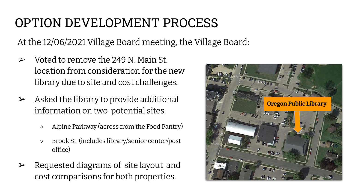## OPTION DEVELOPMENT PROCESS

At the 12/06/2021 Village Board meeting, the Village Board:

- $\triangleright$  Voted to remove the 249 N. Main St. location from consideration for the new library due to site and cost challenges.
- $\triangleright$  Asked the library to provide additional information on two potential sites:
	- Alpine Parkway (across from the Food Pantry)
	- Brook St. (includes library/senior center/post office)
- $\triangleright$  Requested diagrams of site layout and cost comparisons for both properties.

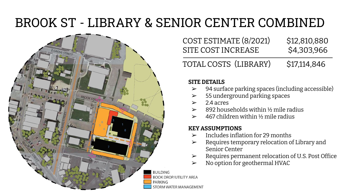# BROOK ST - LIBRARY & SENIOR CENTER COMBINED



COST ESTIMATE (8/2021) \$12,810,880 SITE COST INCREASE \$4,303,966 TOTAL COSTS (LIBRARY) \$17,114,846

#### **SITE DETAILS**

- ➢ 94 surface parking spaces (including accessible)
- $>$  55 underground parking spaces
- $\geq 74$  acres
- $\geq$  892 households within 1/2 mile radius
- ➢ 467 children within ½ mile radius

#### **KEY ASSUMPTIONS**

- $\triangleright$  Includes inflation for 29 months
- ➢ Requires temporary relocation of Library and Senior Center
- ➢ Requires permanent relocation of U.S. Post Office
- $\triangleright$  No option for geothermal HVAC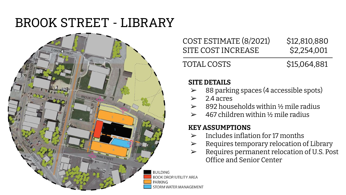## BROOK STREET - LIBRARY



COST ESTIMATE (8/2021) \$12,810,880 SITE COST INCREASE \$2,254,001

TOTAL COSTS \$15,064,881

#### **SITE DETAILS**

- ➢ 88 parking spaces (4 accessible spots)
- $> 24$  acres
- $\geq$  892 households within 1/2 mile radius
- $\geq 467$  children within 1/2 mile radius

### **KEY ASSUMPTIONS**

- $\geq$  Includes inflation for 17 months
- $\triangleright$  Requires temporary relocation of Library
- ➢ Requires permanent relocation of U.S. Post Office and Senior Center

**RUILDING BOOK DROP/UTILITY AREA PARKING** STORM WATER MANAGEMENT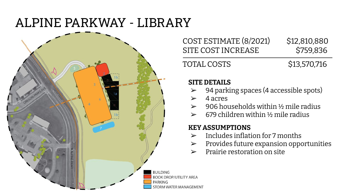## ALPINE PARKWAY - LIBRARY



### COST ESTIMATE (8/2021) \$12,810,880 SITE COST INCREASE \$759,836

TOTAL COSTS \$13,570,716

### **SITE DETAILS**

- ➢ 94 parking spaces (4 accessible spots)
- $\geq 4$  acres
- $\geq 906$  households within 1/2 mile radius
- ➢ 679 children within ½ mile radius

### **KEY ASSUMPTIONS**

- $\triangleright$  Includes inflation for 7 months
- $\triangleright$  Provides future expansion opportunities
- $\triangleright$  Prairie restoration on site